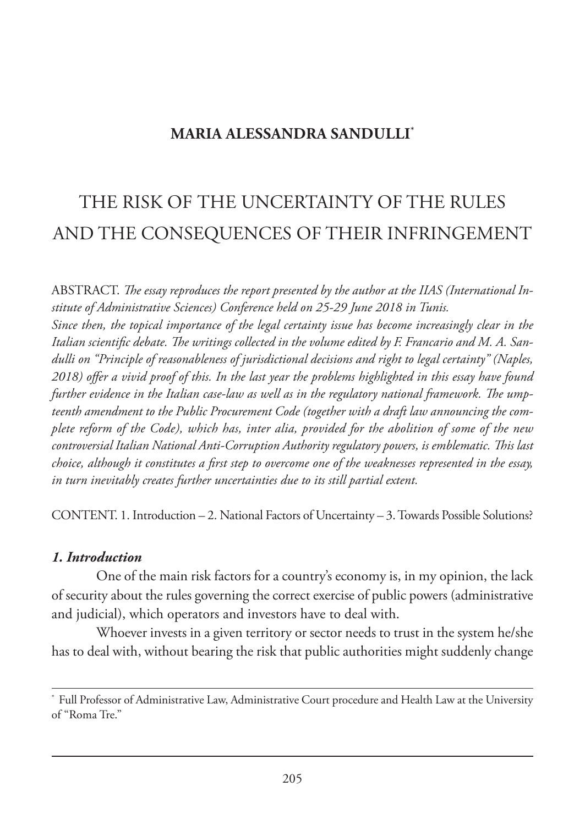## **MARIA ALESSANDRA SANDULLI\***

# THE RISK OF THE UNCERTAINTY OF THE RULES AND THE CONSEQUENCES OF THEIR INFRINGEMENT

ABSTRACT. *The essay reproduces the report presented by the author at the IIAS (International Institute of Administrative Sciences) Conference held on 25-29 June 2018 in Tunis. Since then, the topical importance of the legal certainty issue has become increasingly clear in the Italian scientific debate. The writings collected in the volume edited by F. Francario and M. A. Sandulli on "Principle of reasonableness of jurisdictional decisions and right to legal certainty" (Naples, 2018) offer a vivid proof of this. In the last year the problems highlighted in this essay have found further evidence in the Italian case-law as well as in the regulatory national framework. The umpteenth amendment to the Public Procurement Code (together with a draft law announcing the complete reform of the Code), which has, inter alia, provided for the abolition of some of the new controversial Italian National Anti-Corruption Authority regulatory powers, is emblematic. This last choice, although it constitutes a first step to overcome one of the weaknesses represented in the essay, in turn inevitably creates further uncertainties due to its still partial extent.* 

CONTENT. 1. Introduction – 2. National Factors of Uncertainty – 3. Towards Possible Solutions?

#### *1. Introduction*

One of the main risk factors for a country's economy is, in my opinion, the lack of security about the rules governing the correct exercise of public powers (administrative and judicial), which operators and investors have to deal with.

Whoever invests in a given territory or sector needs to trust in the system he/she has to deal with, without bearing the risk that public authorities might suddenly change

Full Professor of Administrative Law, Administrative Court procedure and Health Law at the University of "Roma Tre."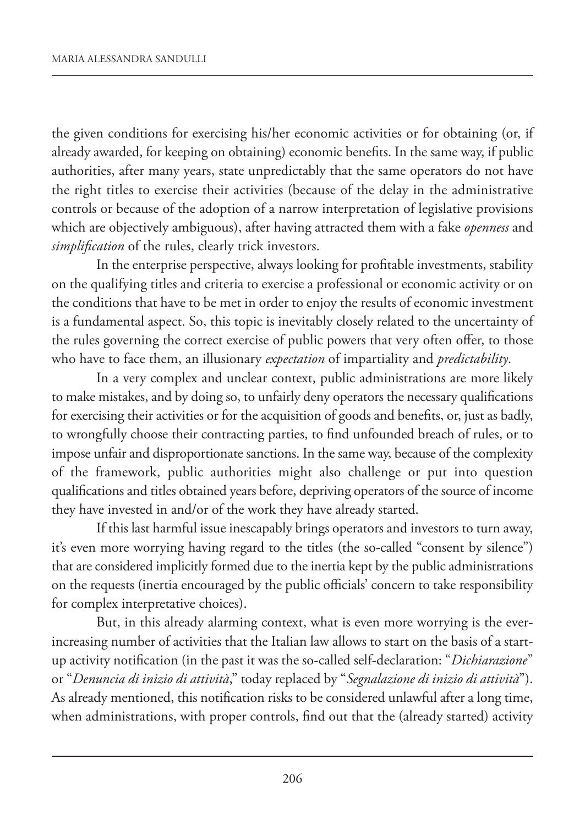the given conditions for exercising his/her economic activities or for obtaining (or, if already awarded, for keeping on obtaining) economic benefits. In the same way, if public authorities, after many years, state unpredictably that the same operators do not have the right titles to exercise their activities (because of the delay in the administrative controls or because of the adoption of a narrow interpretation of legislative provisions which are objectively ambiguous), after having attracted them with a fake *openness* and *simplification* of the rules, clearly trick investors.

In the enterprise perspective, always looking for profitable investments, stability on the qualifying titles and criteria to exercise a professional or economic activity or on the conditions that have to be met in order to enjoy the results of economic investment is a fundamental aspect. So, this topic is inevitably closely related to the uncertainty of the rules governing the correct exercise of public powers that very often offer, to those who have to face them, an illusionary *expectation* of impartiality and *predictability*.

In a very complex and unclear context, public administrations are more likely to make mistakes, and by doing so, to unfairly deny operators the necessary qualifications for exercising their activities or for the acquisition of goods and benefits, or, just as badly, to wrongfully choose their contracting parties, to find unfounded breach of rules, or to impose unfair and disproportionate sanctions. In the same way, because of the complexity of the framework, public authorities might also challenge or put into question qualifications and titles obtained years before, depriving operators of the source of income they have invested in and/or of the work they have already started.

If this last harmful issue inescapably brings operators and investors to turn away, it's even more worrying having regard to the titles (the so-called "consent by silence") that are considered implicitly formed due to the inertia kept by the public administrations on the requests (inertia encouraged by the public officials' concern to take responsibility for complex interpretative choices).

But, in this already alarming context, what is even more worrying is the everincreasing number of activities that the Italian law allows to start on the basis of a startup activity notification (in the past it was the so-called self-declaration: "*Dichiarazione*" or "*Denuncia di inizio di attività*," today replaced by "*Segnalazione di inizio di attività*"). As already mentioned, this notification risks to be considered unlawful after a long time, when administrations, with proper controls, find out that the (already started) activity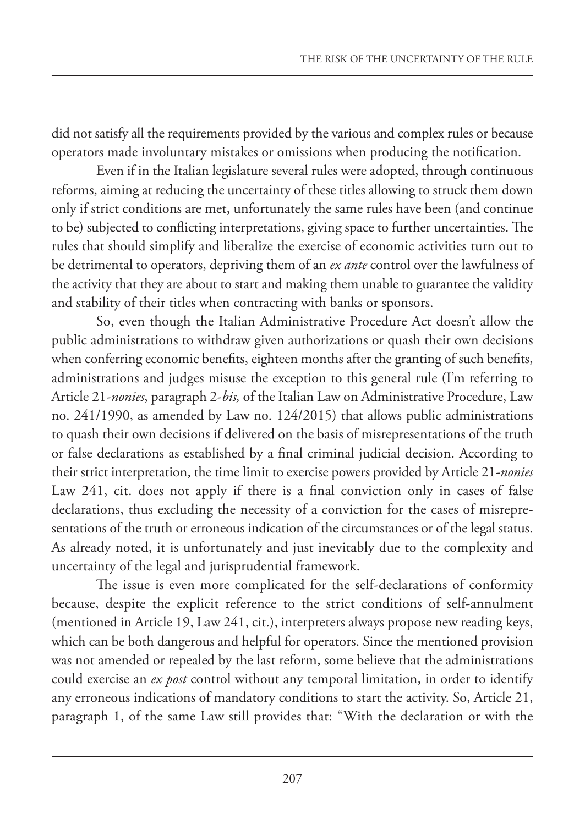did not satisfy all the requirements provided by the various and complex rules or because operators made involuntary mistakes or omissions when producing the notification.

Even if in the Italian legislature several rules were adopted, through continuous reforms, aiming at reducing the uncertainty of these titles allowing to struck them down only if strict conditions are met, unfortunately the same rules have been (and continue to be) subjected to conflicting interpretations, giving space to further uncertainties. The rules that should simplify and liberalize the exercise of economic activities turn out to be detrimental to operators, depriving them of an *ex ante* control over the lawfulness of the activity that they are about to start and making them unable to guarantee the validity and stability of their titles when contracting with banks or sponsors.

So, even though the Italian Administrative Procedure Act doesn't allow the public administrations to withdraw given authorizations or quash their own decisions when conferring economic benefits, eighteen months after the granting of such benefits, administrations and judges misuse the exception to this general rule (I'm referring to Article 21-*nonies*, paragraph 2-*bis,* of the Italian Law on Administrative Procedure, Law no. 241/1990, as amended by Law no. 124/2015) that allows public administrations to quash their own decisions if delivered on the basis of misrepresentations of the truth or false declarations as established by a final criminal judicial decision. According to their strict interpretation, the time limit to exercise powers provided by Article 21-*nonies* Law 241, cit. does not apply if there is a final conviction only in cases of false declarations, thus excluding the necessity of a conviction for the cases of misrepresentations of the truth or erroneous indication of the circumstances or of the legal status. As already noted, it is unfortunately and just inevitably due to the complexity and uncertainty of the legal and jurisprudential framework.

The issue is even more complicated for the self-declarations of conformity because, despite the explicit reference to the strict conditions of self-annulment (mentioned in Article 19, Law 241, cit.), interpreters always propose new reading keys, which can be both dangerous and helpful for operators. Since the mentioned provision was not amended or repealed by the last reform, some believe that the administrations could exercise an *ex post* control without any temporal limitation, in order to identify any erroneous indications of mandatory conditions to start the activity. So, Article 21, paragraph 1, of the same Law still provides that: "With the declaration or with the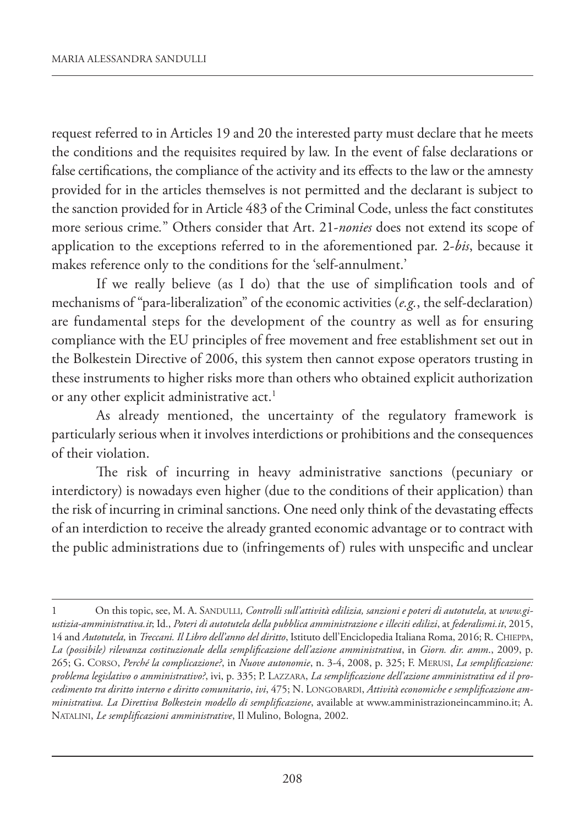request referred to in Articles 19 and 20 the interested party must declare that he meets the conditions and the requisites required by law. In the event of false declarations or false certifications, the compliance of the activity and its effects to the law or the amnesty provided for in the articles themselves is not permitted and the declarant is subject to the sanction provided for in Article 483 of the Criminal Code, unless the fact constitutes more serious crime*.*" Others consider that Art. 21-*nonies* does not extend its scope of application to the exceptions referred to in the aforementioned par. 2-*bis*, because it makes reference only to the conditions for the 'self-annulment.'

If we really believe (as I do) that the use of simplification tools and of mechanisms of "para-liberalization" of the economic activities (*e.g.*, the self-declaration) are fundamental steps for the development of the country as well as for ensuring compliance with the EU principles of free movement and free establishment set out in the Bolkestein Directive of 2006, this system then cannot expose operators trusting in these instruments to higher risks more than others who obtained explicit authorization or any other explicit administrative act.<sup>1</sup>

As already mentioned, the uncertainty of the regulatory framework is particularly serious when it involves interdictions or prohibitions and the consequences of their violation.

The risk of incurring in heavy administrative sanctions (pecuniary or interdictory) is nowadays even higher (due to the conditions of their application) than the risk of incurring in criminal sanctions. One need only think of the devastating effects of an interdiction to receive the already granted economic advantage or to contract with the public administrations due to (infringements of) rules with unspecific and unclear

<sup>1</sup> On this topic, see, M. A. SANDULLI*, Controlli sull'attività edilizia, sanzioni e poteri di autotutela,* at *www.giustizia-amministrativa.it*; Id., *Poteri di autotutela della pubblica amministrazione e illeciti edilizi*, at *federalismi.it*, 2015, 14 and *Autotutela,* in *Treccani. Il Libro dell'anno del diritto*, Istituto dell'Enciclopedia Italiana Roma, 2016; R. CHIEPPA, *La (possibile) rilevanza costituzionale della semplificazione dell'azione amministrativa*, in *Giorn. dir. amm*., 2009, p. 265; G. CORSO, *Perché la complicazione?*, in *Nuove autonomie*, n. 3-4, 2008, p. 325; F. MERUSI, *La semplificazione: problema legislativo o amministrativo?*, ivi, p. 335; P. LAZZARA, *La semplificazione dell'azione amministrativa ed il procedimento tra diritto interno e diritto comunitario*, *ivi*, 475; N. LONGOBARDI, *Attività economiche e semplificazione amministrativa. La Direttiva Bolkestein modello di semplificazione*, available at www.amministrazioneincammino.it; A. NATALINI, *Le semplificazioni amministrative*, Il Mulino, Bologna, 2002.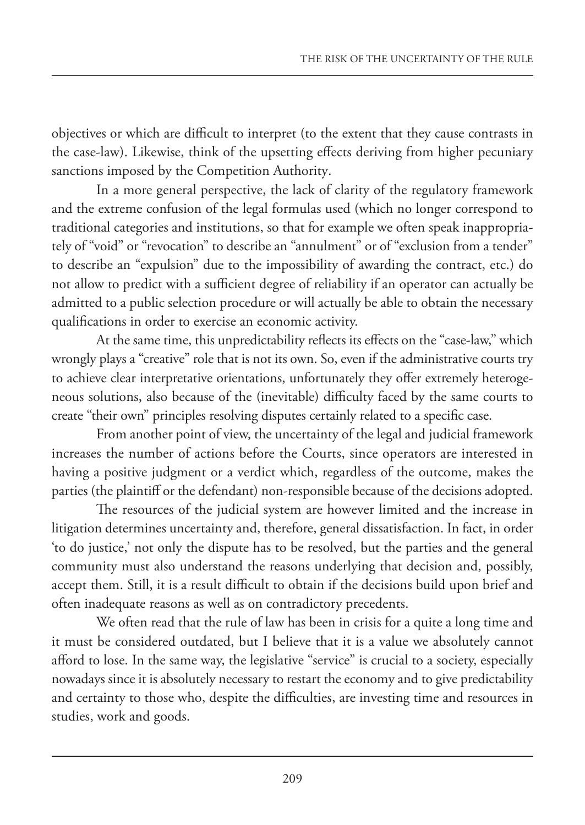objectives or which are difficult to interpret (to the extent that they cause contrasts in the case-law). Likewise, think of the upsetting effects deriving from higher pecuniary sanctions imposed by the Competition Authority.

In a more general perspective, the lack of clarity of the regulatory framework and the extreme confusion of the legal formulas used (which no longer correspond to traditional categories and institutions, so that for example we often speak inappropriately of "void" or "revocation" to describe an "annulment" or of "exclusion from a tender" to describe an "expulsion" due to the impossibility of awarding the contract, etc.) do not allow to predict with a sufficient degree of reliability if an operator can actually be admitted to a public selection procedure or will actually be able to obtain the necessary qualifications in order to exercise an economic activity.

At the same time, this unpredictability reflects its effects on the "case-law," which wrongly plays a "creative" role that is not its own. So, even if the administrative courts try to achieve clear interpretative orientations, unfortunately they offer extremely heterogeneous solutions, also because of the (inevitable) difficulty faced by the same courts to create "their own" principles resolving disputes certainly related to a specific case.

From another point of view, the uncertainty of the legal and judicial framework increases the number of actions before the Courts, since operators are interested in having a positive judgment or a verdict which, regardless of the outcome, makes the parties (the plaintiff or the defendant) non-responsible because of the decisions adopted.

The resources of the judicial system are however limited and the increase in litigation determines uncertainty and, therefore, general dissatisfaction. In fact, in order 'to do justice,' not only the dispute has to be resolved, but the parties and the general community must also understand the reasons underlying that decision and, possibly, accept them. Still, it is a result difficult to obtain if the decisions build upon brief and often inadequate reasons as well as on contradictory precedents.

We often read that the rule of law has been in crisis for a quite a long time and it must be considered outdated, but I believe that it is a value we absolutely cannot afford to lose. In the same way, the legislative "service" is crucial to a society, especially nowadays since it is absolutely necessary to restart the economy and to give predictability and certainty to those who, despite the difficulties, are investing time and resources in studies, work and goods.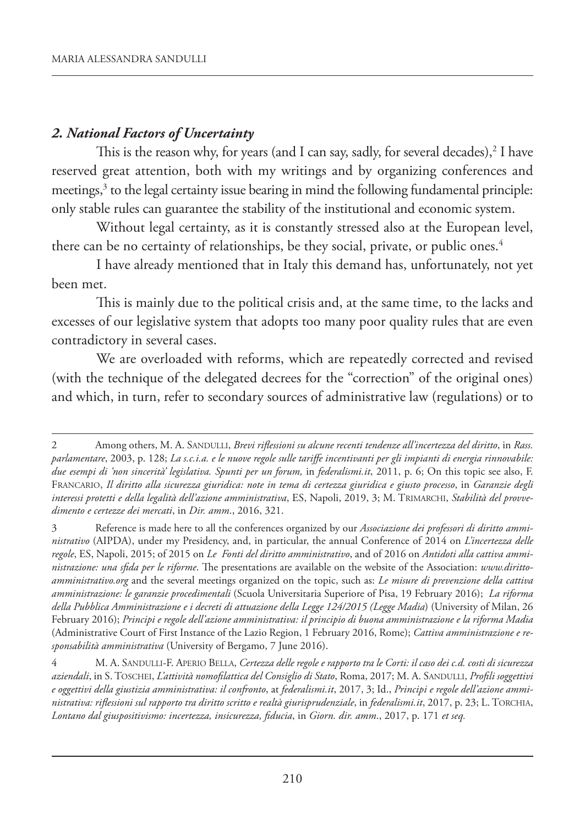### *2. National Factors of Uncertainty*

This is the reason why, for years (and I can say, sadly, for several decades), $^2$  I have reserved great attention, both with my writings and by organizing conferences and meetings,<sup>3</sup> to the legal certainty issue bearing in mind the following fundamental principle: only stable rules can guarantee the stability of the institutional and economic system.

Without legal certainty, as it is constantly stressed also at the European level, there can be no certainty of relationships, be they social, private, or public ones.<sup>4</sup>

I have already mentioned that in Italy this demand has, unfortunately, not yet been met.

This is mainly due to the political crisis and, at the same time, to the lacks and excesses of our legislative system that adopts too many poor quality rules that are even contradictory in several cases.

We are overloaded with reforms, which are repeatedly corrected and revised (with the technique of the delegated decrees for the "correction" of the original ones) and which, in turn, refer to secondary sources of administrative law (regulations) or to

<sup>2</sup> Among others, M. A. SANDULLI, *Brevi riflessioni su alcune recenti tendenze all'incertezza del diritto*, in *Rass. parlamentare*, 2003, p. 128; *La s.c.i.a. e le nuove regole sulle tariffe incentivanti per gli impianti di energia rinnovabile: due esempi di 'non sincerità' legislativa. Spunti per un forum,* in *federalismi.it*, 2011, p. 6; On this topic see also, F. FRANCARIO, *Il diritto alla sicurezza giuridica: note in tema di certezza giuridica e giusto processo*, in *Garanzie degli interessi protetti e della legalità dell'azione amministrativa*, ES, Napoli, 2019, 3; M. TRIMARCHI, *Stabilità del provvedimento e certezze dei mercati*, in *Dir. amm*., 2016, 321.

<sup>3</sup> Reference is made here to all the conferences organized by our *Associazione dei professori di diritto amministrativo* (AIPDA), under my Presidency, and, in particular, the annual Conference of 2014 on *L'incertezza delle regole*, ES, Napoli, 2015; of 2015 on *Le Fonti del diritto amministrativo*, and of 2016 on *Antidoti alla cattiva amministrazione: una sfida per le riforme*. The presentations are available on the website of the Association: *www.dirittoamministrativo.org* and the several meetings organized on the topic, such as: *Le misure di prevenzione della cattiva amministrazione: le garanzie procedimentali* (Scuola Universitaria Superiore of Pisa, 19 February 2016); *La riforma della Pubblica Amministrazione e i decreti di attuazione della Legge 124/2015 (Legge Madia*) (University of Milan, 26 February 2016); *Principi e regole dell'azione amministrativa: il principio di buona amministrazione e la riforma Madia* (Administrative Court of First Instance of the Lazio Region, 1 February 2016, Rome); *Cattiva amministrazione e responsabilità amministrativa* (University of Bergamo, 7 June 2016).

<sup>4</sup> M. A. SANDULLI-F. APERIO BELLA, *Certezza delle regole e rapporto tra le Corti: il caso dei c.d. costi di sicurezza aziendali*, in S. TOSCHEI, *L'attività nomofilattica del Consiglio di Stato*, Roma, 2017; M. A. SANDULLI, *Profili soggettivi e oggettivi della giustizia amministrativa: il confronto*, at *federalismi.it*, 2017, 3; Id., *Principi e regole dell'azione amministrativa: riflessioni sul rapporto tra diritto scritto e realtà giurisprudenziale*, in *federalismi.it*, 2017, p. 23; L. TORCHIA, *Lontano dal giuspositivismo: incertezza, insicurezza, fiducia*, in *Giorn. dir. amm*., 2017, p. 171 *et seq.*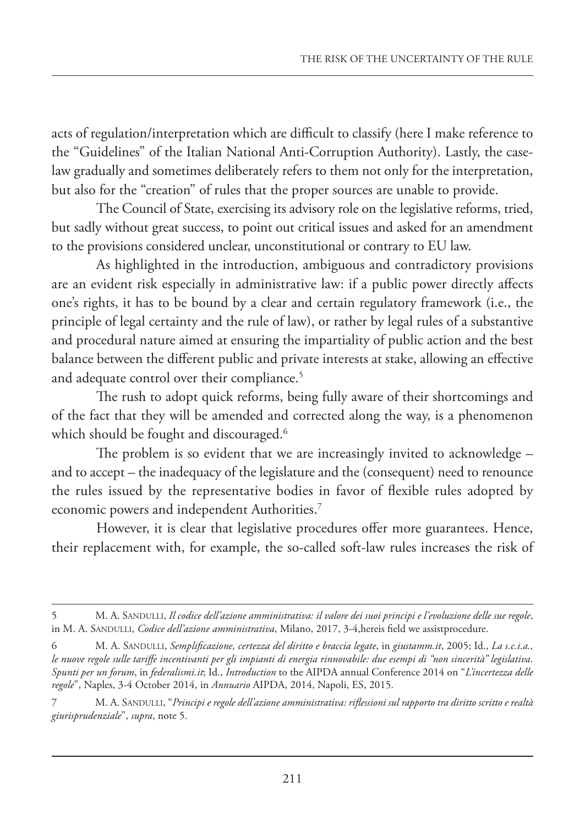acts of regulation/interpretation which are difficult to classify (here I make reference to the "Guidelines" of the Italian National Anti-Corruption Authority). Lastly, the caselaw gradually and sometimes deliberately refers to them not only for the interpretation, but also for the "creation" of rules that the proper sources are unable to provide.

The Council of State, exercising its advisory role on the legislative reforms, tried, but sadly without great success, to point out critical issues and asked for an amendment to the provisions considered unclear, unconstitutional or contrary to EU law.

As highlighted in the introduction, ambiguous and contradictory provisions are an evident risk especially in administrative law: if a public power directly affects one's rights, it has to be bound by a clear and certain regulatory framework (i.e., the principle of legal certainty and the rule of law), or rather by legal rules of a substantive and procedural nature aimed at ensuring the impartiality of public action and the best balance between the different public and private interests at stake, allowing an effective and adequate control over their compliance.<sup>5</sup>

The rush to adopt quick reforms, being fully aware of their shortcomings and of the fact that they will be amended and corrected along the way, is a phenomenon which should be fought and discouraged.<sup>6</sup>

The problem is so evident that we are increasingly invited to acknowledge – and to accept – the inadequacy of the legislature and the (consequent) need to renounce the rules issued by the representative bodies in favor of flexible rules adopted by economic powers and independent Authorities.<sup>7</sup>

However, it is clear that legislative procedures offer more guarantees. Hence, their replacement with, for example, the so-called soft-law rules increases the risk of

<sup>5</sup> M. A. SANDULLI, *Il codice dell'azione amministrativa: il valore dei suoi principi e l'evoluzione delle sue regole*, in M. A. SANDULLI, *Codice dell'azione amministrativa*, Milano, 2017, 3-4,hereis field we assistprocedure.

<sup>6</sup> M. A. SANDULLI, *Semplificazione, certezza del diritto e braccia legate*, in *giustamm.it*, 2005; Id., *La s.c.i.a., le nuove regole sulle tariffe incentivanti per gli impianti di energia rinnovabile: due esempi di "non sincerità" legislativa*. *Spunti per un forum*, in *federalismi.it*; Id., *Introduction* to the AIPDA annual Conference 2014 on "*L'incertezza delle regole*", Naples, 3-4 October 2014, in *Annuario* AIPDA, 2014, Napoli, ES, 2015.

<sup>7</sup> M. A. SANDULLI, "*Principi e regole dell'azione amministrativa: riflessioni sul rapporto tra diritto scritto e realtà giurisprudenziale*", *supra*, note 5.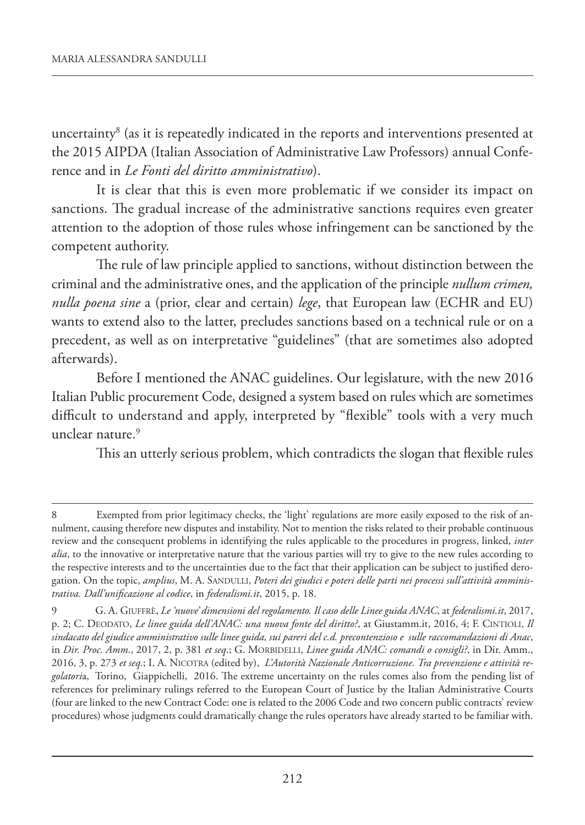uncertainty $^{\rm 8}$  (as it is repeatedly indicated in the reports and interventions presented at the 2015 AIPDA (Italian Association of Administrative Law Professors) annual Conference and in *Le Fonti del diritto amministrativo*).

It is clear that this is even more problematic if we consider its impact on sanctions. The gradual increase of the administrative sanctions requires even greater attention to the adoption of those rules whose infringement can be sanctioned by the competent authority.

The rule of law principle applied to sanctions, without distinction between the criminal and the administrative ones, and the application of the principle *nullum crimen, nulla poena sine* a (prior, clear and certain) *lege*, that European law (ECHR and EU) wants to extend also to the latter, precludes sanctions based on a technical rule or on a precedent, as well as on interpretative "guidelines" (that are sometimes also adopted afterwards).

Before I mentioned the ANAC guidelines. Our legislature, with the new 2016 Italian Public procurement Code, designed a system based on rules which are sometimes difficult to understand and apply, interpreted by "flexible" tools with a very much unclear nature.9

This an utterly serious problem, which contradicts the slogan that flexible rules

<sup>8</sup> Exempted from prior legitimacy checks, the 'light' regulations are more easily exposed to the risk of annulment, causing therefore new disputes and instability. Not to mention the risks related to their probable continuous review and the consequent problems in identifying the rules applicable to the procedures in progress, linked, *inter alia*, to the innovative or interpretative nature that the various parties will try to give to the new rules according to the respective interests and to the uncertainties due to the fact that their application can be subject to justified derogation. On the topic, *amplius*, M. A. SANDULLI, *Poteri dei giudici e poteri delle parti nei processi sull'attività amministrativa. Dall'unificazione al codice*, in *federalismi.it*, 2015, p. 18.

<sup>9</sup> G. A. GIUFFRÈ, *Le 'nuove' dimensioni del regolamento. Il caso delle Linee guida ANAC*, at *federalismi.it*, 2017, p. 2; C. DEODATO, *Le linee guida dell'ANAC: una nuova fonte del diritto?*, at Giustamm.it, 2016, 4; F. CINTIOLI, *Il sindacato del giudice amministrativo sulle linee guida, sui pareri del c.d. precontenzioso e sulle raccomandazioni di Anac*, in *Dir. Proc. Amm*., 2017, 2, p. 381 *et seq*.; G. MORBIDELLI, *Linee guida ANAC: comandi o consigli?*, in Dir. Amm., 2016, 3, p. 273 *et seq.*; I. A. NICOTRA (edited by), *L'Autorità Nazionale Anticorruzione. Tra prevenzione e attività regolatori*a, Torino, Giappichelli, 2016. The extreme uncertainty on the rules comes also from the pending list of references for preliminary rulings referred to the European Court of Justice by the Italian Administrative Courts (four are linked to the new Contract Code: one is related to the 2006 Code and two concern public contracts' review procedures) whose judgments could dramatically change the rules operators have already started to be familiar with.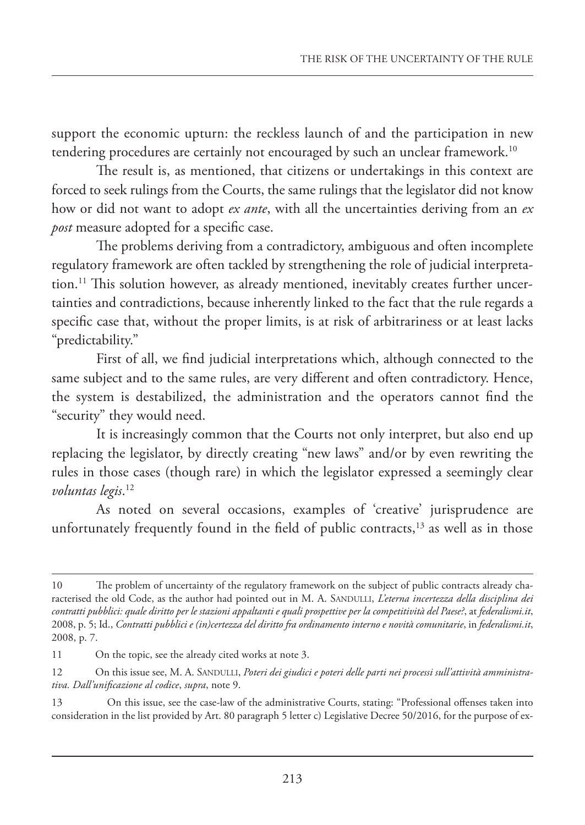support the economic upturn: the reckless launch of and the participation in new tendering procedures are certainly not encouraged by such an unclear framework.<sup>10</sup>

The result is, as mentioned, that citizens or undertakings in this context are forced to seek rulings from the Courts, the same rulings that the legislator did not know how or did not want to adopt *ex ante*, with all the uncertainties deriving from an *ex post* measure adopted for a specific case.

The problems deriving from a contradictory, ambiguous and often incomplete regulatory framework are often tackled by strengthening the role of judicial interpretation.<sup>11</sup> This solution however, as already mentioned, inevitably creates further uncertainties and contradictions, because inherently linked to the fact that the rule regards a specific case that, without the proper limits, is at risk of arbitrariness or at least lacks "predictability."

First of all, we find judicial interpretations which, although connected to the same subject and to the same rules, are very different and often contradictory. Hence, the system is destabilized, the administration and the operators cannot find the "security" they would need.

It is increasingly common that the Courts not only interpret, but also end up replacing the legislator, by directly creating "new laws" and/or by even rewriting the rules in those cases (though rare) in which the legislator expressed a seemingly clear *voluntas legis*. 12

As noted on several occasions, examples of 'creative' jurisprudence are unfortunately frequently found in the field of public contracts, $13$  as well as in those

<sup>10</sup> The problem of uncertainty of the regulatory framework on the subject of public contracts already characterised the old Code, as the author had pointed out in M. A. SANDULLI, *L'eterna incertezza della disciplina dei contratti pubblici: quale diritto per le stazioni appaltanti e quali prospettive per la competitività del Paese?*, at *federalismi.it*, 2008, p. 5; Id., *Contratti pubblici e (in)certezza del diritto fra ordinamento interno e novità comunitarie*, in *federalismi.it*, 2008, p. 7.

<sup>11</sup> On the topic, see the already cited works at note 3.

<sup>12</sup> On this issue see, M. A. SANDULLI, *Poteri dei giudici e poteri delle parti nei processi sull'attività amministrativa. Dall'unificazione al codice*, *supra*, note 9.

<sup>13</sup> On this issue, see the case-law of the administrative Courts, stating: "Professional offenses taken into consideration in the list provided by Art. 80 paragraph 5 letter c) Legislative Decree 50/2016, for the purpose of ex-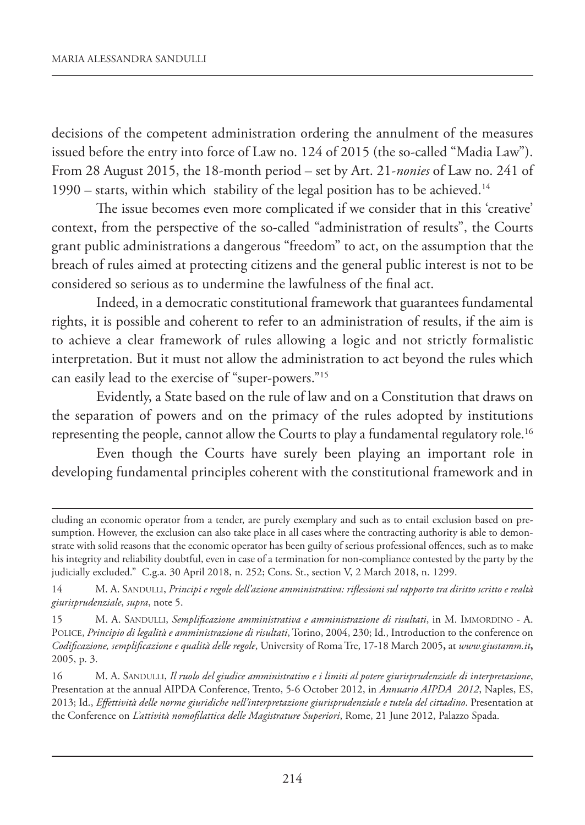decisions of the competent administration ordering the annulment of the measures issued before the entry into force of Law no. 124 of 2015 (the so-called "Madia Law"). From 28 August 2015, the 18-month period – set by Art. 21-*nonies* of Law no. 241 of 1990 – starts, within which stability of the legal position has to be achieved.<sup>14</sup>

The issue becomes even more complicated if we consider that in this 'creative' context, from the perspective of the so-called "administration of results", the Courts grant public administrations a dangerous "freedom" to act, on the assumption that the breach of rules aimed at protecting citizens and the general public interest is not to be considered so serious as to undermine the lawfulness of the final act.

Indeed, in a democratic constitutional framework that guarantees fundamental rights, it is possible and coherent to refer to an administration of results, if the aim is to achieve a clear framework of rules allowing a logic and not strictly formalistic interpretation. But it must not allow the administration to act beyond the rules which can easily lead to the exercise of "super-powers."15

Evidently, a State based on the rule of law and on a Constitution that draws on the separation of powers and on the primacy of the rules adopted by institutions representing the people, cannot allow the Courts to play a fundamental regulatory role.<sup>16</sup>

Even though the Courts have surely been playing an important role in developing fundamental principles coherent with the constitutional framework and in

cluding an economic operator from a tender, are purely exemplary and such as to entail exclusion based on presumption. However, the exclusion can also take place in all cases where the contracting authority is able to demonstrate with solid reasons that the economic operator has been guilty of serious professional offences, such as to make his integrity and reliability doubtful, even in case of a termination for non-compliance contested by the party by the judicially excluded." C.g.a. 30 April 2018, n. 252; Cons. St., section V, 2 March 2018, n. 1299.

<sup>14</sup> M. A. SANDULLI, *Principi e regole dell'azione amministrativa: riflessioni sul rapporto tra diritto scritto e realtà giurisprudenziale*, *supra*, note 5.

<sup>15</sup> M. A. SANDULLI, *Semplificazione amministrativa e amministrazione di risultati*, in M. IMMORDINO - A. POLICE, *Principio di legalità e amministrazione di risultati*, Torino, 2004, 230; Id., Introduction to the conference on *Codificazione, semplificazione e qualità delle regole*, University of Roma Tre, 17-18 March 2005**,** at *www.giustamm.it***,** 2005, p. 3.

<sup>16</sup> M. A. SANDULLI, *Il ruolo del giudice amministrativo e i limiti al potere giurisprudenziale di interpretazione*, Presentation at the annual AIPDA Conference, Trento, 5-6 October 2012, in *Annuario AIPDA 2012*, Naples, ES, 2013; Id., *Effettività delle norme giuridiche nell'interpretazione giurisprudenziale e tutela del cittadino*. Presentation at the Conference on *L'attività nomofilattica delle Magistrature Superiori*, Rome, 21 June 2012, Palazzo Spada.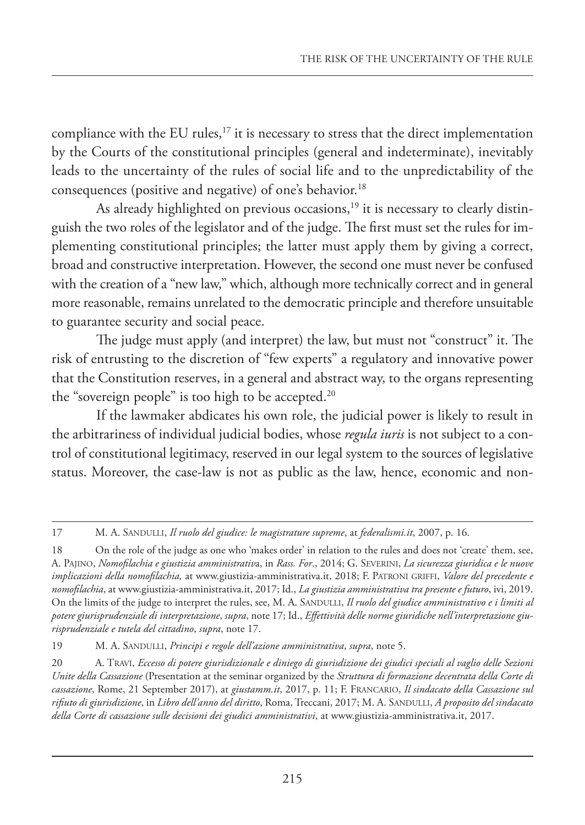compliance with the EU rules, $17$  it is necessary to stress that the direct implementation by the Courts of the constitutional principles (general and indeterminate), inevitably leads to the uncertainty of the rules of social life and to the unpredictability of the consequences (positive and negative) of one's behavior.18

As already highlighted on previous occasions, $19$  it is necessary to clearly distinguish the two roles of the legislator and of the judge. The first must set the rules for implementing constitutional principles; the latter must apply them by giving a correct, broad and constructive interpretation. However, the second one must never be confused with the creation of a "new law," which, although more technically correct and in general more reasonable, remains unrelated to the democratic principle and therefore unsuitable to guarantee security and social peace.

The judge must apply (and interpret) the law, but must not "construct" it. The risk of entrusting to the discretion of "few experts" a regulatory and innovative power that the Constitution reserves, in a general and abstract way, to the organs representing the "sovereign people" is too high to be accepted. $20$ 

If the lawmaker abdicates his own role, the judicial power is likely to result in the arbitrariness of individual judicial bodies, whose *regula iuris* is not subject to a control of constitutional legitimacy, reserved in our legal system to the sources of legislative status. Moreover, the case-law is not as public as the law, hence, economic and non-

17 M. A. SANDULLI, *Il ruolo del giudice: le magistrature supreme*, at *federalismi.it*, 2007, p. 16.

<sup>18</sup> On the role of the judge as one who 'makes order' in relation to the rules and does not 'create' them, see, A. PAJINO, *Nomofilachia e giustizia amministrativ*a, in *Rass. For*., 2014; G. SEVERINI, *La sicurezza giuridica e le nuove implicazioni della nomofilachia,* at www.giustizia-amministrativa.it, 2018; F. PATRONI GRIFFI, *Valore del precedente e nomofilachia*, at www.giustizia-amministrativa.it, 2017; Id., *La giustizia amministrativa tra presente e futuro*, ivi, 2019. On the limits of the judge to interpret the rules, see, M. A. SANDULLI, *Il ruolo del giudice amministrativo e i limiti al potere giurisprudenziale di interpretazione*, *supra*, note 17; Id., *Effettività delle norme giuridiche nell'interpretazione giurisprudenziale e tutela del cittadino*, *supra*, note 17.

<sup>19</sup> M. A. SANDULLI, *Principi e regole dell'azione amministrativa*, *supra*, note 5.

<sup>20</sup> A. TRAVI, *Eccesso di potere giurisdizionale e diniego di giurisdizione dei giudici speciali al vaglio delle Sezioni Unite della Cassazione* (Presentation at the seminar organized by the *Struttura di formazione decentrata della Corte di cassazione*, Rome, 21 September 2017), at *giustamm.it*, 2017, p. 11; F. FRANCARIO, *Il sindacato della Cassazione sul rifiuto di giurisdizione*, in *Libro dell'anno del diritto*, Roma, Treccani, 2017; M. A. SANDULLI, *A proposito del sindacato della Corte di cassazione sulle decisioni dei giudici amministrativi*, at www.giustizia-amministrativa.it, 2017.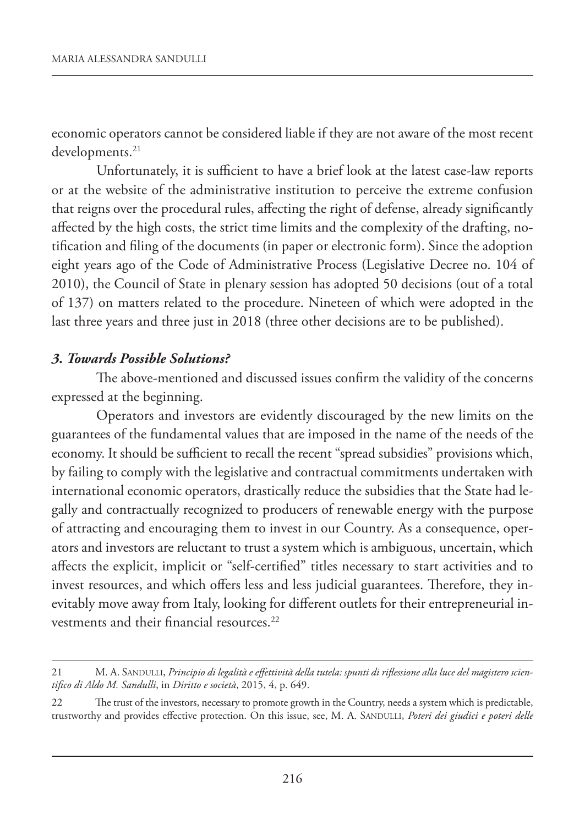economic operators cannot be considered liable if they are not aware of the most recent developments.<sup>21</sup>

Unfortunately, it is sufficient to have a brief look at the latest case-law reports or at the website of the administrative institution to perceive the extreme confusion that reigns over the procedural rules, affecting the right of defense, already significantly affected by the high costs, the strict time limits and the complexity of the drafting, notification and filing of the documents (in paper or electronic form). Since the adoption eight years ago of the Code of Administrative Process (Legislative Decree no. 104 of 2010), the Council of State in plenary session has adopted 50 decisions (out of a total of 137) on matters related to the procedure. Nineteen of which were adopted in the last three years and three just in 2018 (three other decisions are to be published).

#### *3. Towards Possible Solutions?*

The above-mentioned and discussed issues confirm the validity of the concerns expressed at the beginning.

Operators and investors are evidently discouraged by the new limits on the guarantees of the fundamental values that are imposed in the name of the needs of the economy. It should be sufficient to recall the recent "spread subsidies" provisions which, by failing to comply with the legislative and contractual commitments undertaken with international economic operators, drastically reduce the subsidies that the State had legally and contractually recognized to producers of renewable energy with the purpose of attracting and encouraging them to invest in our Country. As a consequence, operators and investors are reluctant to trust a system which is ambiguous, uncertain, which affects the explicit, implicit or "self-certified" titles necessary to start activities and to invest resources, and which offers less and less judicial guarantees. Therefore, they inevitably move away from Italy, looking for different outlets for their entrepreneurial investments and their financial resources.<sup>22</sup>

<sup>21</sup> M. A. SANDULLI, *Principio di legalità e effettività della tutela: spunti di riflessione alla luce del magistero scientifico di Aldo M. Sandulli*, in *Diritto e società*, 2015, 4, p. 649.

<sup>22</sup> The trust of the investors, necessary to promote growth in the Country, needs a system which is predictable, trustworthy and provides effective protection. On this issue, see, M. A. SANDULLI, *Poteri dei giudici e poteri delle*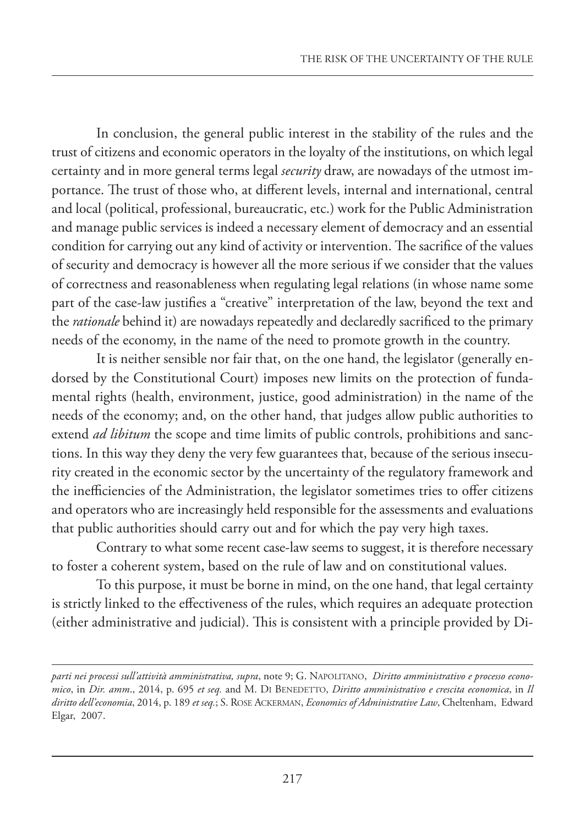In conclusion, the general public interest in the stability of the rules and the trust of citizens and economic operators in the loyalty of the institutions, on which legal certainty and in more general terms legal *security* draw, are nowadays of the utmost importance. The trust of those who, at different levels, internal and international, central and local (political, professional, bureaucratic, etc.) work for the Public Administration and manage public services is indeed a necessary element of democracy and an essential condition for carrying out any kind of activity or intervention. The sacrifice of the values of security and democracy is however all the more serious if we consider that the values of correctness and reasonableness when regulating legal relations (in whose name some part of the case-law justifies a "creative" interpretation of the law, beyond the text and the *rationale* behind it) are nowadays repeatedly and declaredly sacrificed to the primary needs of the economy, in the name of the need to promote growth in the country.

It is neither sensible nor fair that, on the one hand, the legislator (generally endorsed by the Constitutional Court) imposes new limits on the protection of fundamental rights (health, environment, justice, good administration) in the name of the needs of the economy; and, on the other hand, that judges allow public authorities to extend *ad libitum* the scope and time limits of public controls, prohibitions and sanctions. In this way they deny the very few guarantees that, because of the serious insecurity created in the economic sector by the uncertainty of the regulatory framework and the inefficiencies of the Administration, the legislator sometimes tries to offer citizens and operators who are increasingly held responsible for the assessments and evaluations that public authorities should carry out and for which the pay very high taxes.

Contrary to what some recent case-law seems to suggest, it is therefore necessary to foster a coherent system, based on the rule of law and on constitutional values.

To this purpose, it must be borne in mind, on the one hand, that legal certainty is strictly linked to the effectiveness of the rules, which requires an adequate protection (either administrative and judicial). This is consistent with a principle provided by Di-

*parti nei processi sull'attività amministrativa, supra*, note 9; G. NAPOLITANO, *Diritto amministrativo e processo economico*, in *Dir. amm*., 2014, p. 695 *et seq.* and M. DI BENEDETTO, *Diritto amministrativo e crescita economica*, in *Il diritto dell'economia*, 2014, p. 189 *et seq.*; S. ROSE ACKERMAN, *Economics of Administrative Law*, Cheltenham, Edward Elgar, 2007.